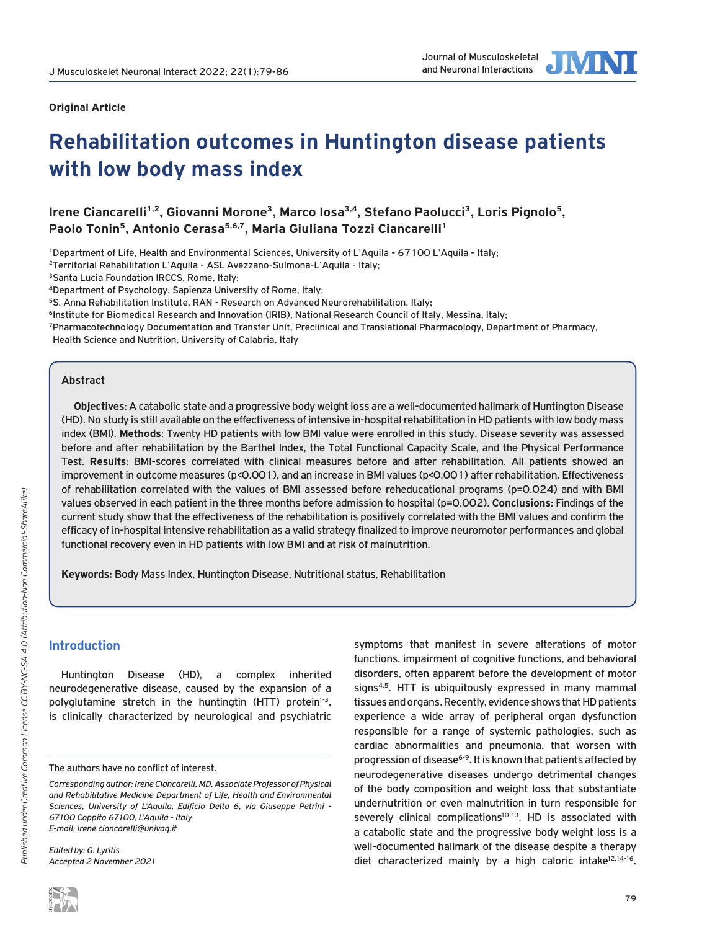

### **Original Article**

# **Rehabilitation outcomes in Huntington disease patients with low body mass index**

Irene Ciancarelli<sup>1,2</sup>, Giovanni Morone<sup>3</sup>, Marco Iosa<sup>3,4</sup>, Stefano Paolucci<sup>3</sup>, Loris Pignolo<sup>5</sup>, Paolo Tonin<sup>5</sup>, Antonio Cerasa<sup>5,6,7</sup>, Maria Giuliana Tozzi Ciancarelli<sup>1</sup>

1Department of Life, Health and Environmental Sciences, University of L'Aquila - 67100 L'Aquila - Italy;

2Territorial Rehabilitation L'Aquila - ASL Avezzano-Sulmona-L'Aquila - Italy;

<sup>3</sup>Santa Lucia Foundation IRCCS, Rome, Italy;

4Department of Psychology, Sapienza University of Rome, Italy;

<sup>5</sup>S. Anna Rehabilitation Institute, RAN - Research on Advanced Neurorehabilitation, Italy;

<sup>6</sup>Institute for Biomedical Research and Innovation (IRIB), National Research Council of Italy, Messina, Italy;

7Pharmacotechnology Documentation and Transfer Unit, Preclinical and Translational Pharmacology, Department of Pharmacy,

Health Science and Nutrition, University of Calabria, Italy

## **Abstract**

**Objectives**: A catabolic state and a progressive body weight loss are a well-documented hallmark of Huntington Disease (HD). No study is still available on the effectiveness of intensive in-hospital rehabilitation in HD patients with low body mass index (BMI). **Methods**: Twenty HD patients with low BMI value were enrolled in this study. Disease severity was assessed before and after rehabilitation by the Barthel Index, the Total Functional Capacity Scale, and the Physical Performance Test. **Results**: BMI-scores correlated with clinical measures before and after rehabilitation. All patients showed an improvement in outcome measures (p<0.001), and an increase in BMI values (p<0.001) after rehabilitation. Effectiveness of rehabilitation correlated with the values of BMI assessed before reheducational programs (p=0.024) and with BMI values observed in each patient in the three months before admission to hospital (p=0.002). **Conclusions**: Findings of the current study show that the effectiveness of the rehabilitation is positively correlated with the BMI values and confirm the efficacy of in-hospital intensive rehabilitation as a valid strategy finalized to improve neuromotor performances and global functional recovery even in HD patients with low BMI and at risk of malnutrition.

**Keywords:** Body Mass Index, Huntington Disease, Nutritional status, Rehabilitation

# **Introduction**

Huntington Disease (HD), a complex inherited neurodegenerative disease, caused by the expansion of a polyglutamine stretch in the huntingtin (HTT) protein $1-3$ , is clinically characterized by neurological and psychiatric

The authors have no conflict of interest.

*Edited by: G. Lyritis Accepted 2 November 2021* symptoms that manifest in severe alterations of motor functions, impairment of cognitive functions, and behavioral disorders, often apparent before the development of motor signs<sup>4,5</sup>. HTT is ubiquitously expressed in many mammal tissues and organs. Recently, evidence shows that HD patients experience a wide array of peripheral organ dysfunction responsible for a range of systemic pathologies, such as cardiac abnormalities and pneumonia, that worsen with progression of disease<sup>6-9</sup>. It is known that patients affected by neurodegenerative diseases undergo detrimental changes of the body composition and weight loss that substantiate undernutrition or even malnutrition in turn responsible for severely clinical complications<sup>10-13</sup>. HD is associated with a catabolic state and the progressive body weight loss is a well-documented hallmark of the disease despite a therapy diet characterized mainly by a high caloric intake $12,14-16$ .

*Corresponding author: Irene Ciancarelli, MD, Associate Professor of Physical and Rehabilitative Medicine Department of Life, Health and Environmental Sciences, University of L'Aquila, Edificio Delta 6, via Giuseppe Petrini - 67100 Coppito 67100, L'Aquila - Italy E-mail: irene.ciancarelli@univaq.it*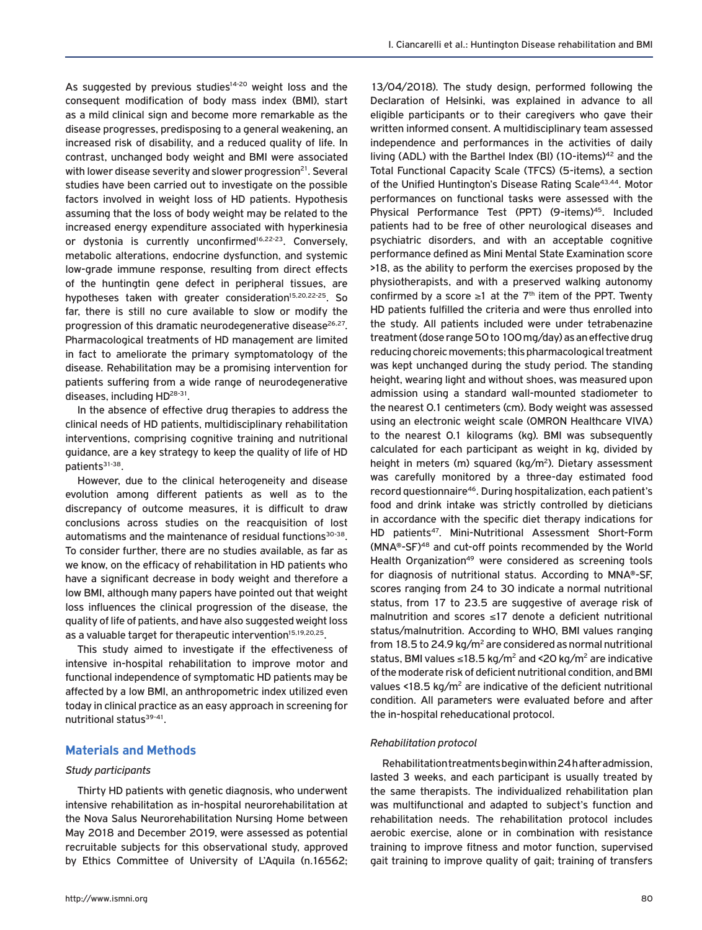As suggested by previous studies $14-20$  weight loss and the consequent modification of body mass index (BMI), start as a mild clinical sign and become more remarkable as the disease progresses, predisposing to a general weakening, an increased risk of disability, and a reduced quality of life. In contrast, unchanged body weight and BMI were associated with lower disease severity and slower progression $21$ . Several studies have been carried out to investigate on the possible factors involved in weight loss of HD patients. Hypothesis assuming that the loss of body weight may be related to the increased energy expenditure associated with hyperkinesia or dystonia is currently unconfirmed<sup>16,22-23</sup>. Conversely, metabolic alterations, endocrine dysfunction, and systemic low-grade immune response, resulting from direct effects of the huntingtin gene defect in peripheral tissues, are hypotheses taken with greater consideration<sup>15,20,22-25</sup>. So far, there is still no cure available to slow or modify the progression of this dramatic neurodegenerative disease<sup>26,27</sup>. Pharmacological treatments of HD management are limited in fact to ameliorate the primary symptomatology of the disease. Rehabilitation may be a promising intervention for patients suffering from a wide range of neurodegenerative diseases, including HD<sup>28-31</sup>.

In the absence of effective drug therapies to address the clinical needs of HD patients, multidisciplinary rehabilitation interventions, comprising cognitive training and nutritional guidance, are a key strategy to keep the quality of life of HD patients<sup>31-38</sup>.

However, due to the clinical heterogeneity and disease evolution among different patients as well as to the discrepancy of outcome measures, it is difficult to draw conclusions across studies on the reacquisition of lost automatisms and the maintenance of residual functions<sup>30-38</sup>. To consider further, there are no studies available, as far as we know, on the efficacy of rehabilitation in HD patients who have a significant decrease in body weight and therefore a low BMI, although many papers have pointed out that weight loss influences the clinical progression of the disease, the quality of life of patients, and have also suggested weight loss as a valuable target for therapeutic intervention<sup>15,19,20,25</sup>.

This study aimed to investigate if the effectiveness of intensive in-hospital rehabilitation to improve motor and functional independence of symptomatic HD patients may be affected by a low BMI, an anthropometric index utilized even today in clinical practice as an easy approach in screening for nutritional status<sup>39-41</sup>.

## **Materials and Methods**

### *Study participants*

Thirty HD patients with genetic diagnosis, who underwent intensive rehabilitation as in-hospital neurorehabilitation at the Nova Salus Neurorehabilitation Nursing Home between May 2018 and December 2019, were assessed as potential recruitable subjects for this observational study, approved by Ethics Committee of University of L'Aquila (n.16562;

13/04/2018). The study design, performed following the Declaration of Helsinki, was explained in advance to all eligible participants or to their caregivers who gave their written informed consent. A multidisciplinary team assessed independence and performances in the activities of daily living (ADL) with the Barthel Index (BI) (10-items)<sup>42</sup> and the Total Functional Capacity Scale (TFCS) (5-items), a section of the Unified Huntington's Disease Rating Scale<sup>43,44</sup>. Motor performances on functional tasks were assessed with the Physical Performance Test (PPT) (9-items)<sup>45</sup>. Included patients had to be free of other neurological diseases and psychiatric disorders, and with an acceptable cognitive performance defined as Mini Mental State Examination score >18, as the ability to perform the exercises proposed by the physiotherapists, and with a preserved walking autonomy confirmed by a score  $\geq 1$  at the 7<sup>th</sup> item of the PPT. Twenty HD patients fulfilled the criteria and were thus enrolled into the study. All patients included were under tetrabenazine treatment (dose range 50 to 100 mg/day) as an effective drug reducing choreic movements; this pharmacological treatment was kept unchanged during the study period. The standing height, wearing light and without shoes, was measured upon admission using a standard wall-mounted stadiometer to the nearest 0.1 centimeters (cm). Body weight was assessed using an electronic weight scale (OMRON Healthcare VIVA) to the nearest 0.1 kilograms (kg). BMI was subsequently calculated for each participant as weight in kg, divided by height in meters (m) squared (kg/m<sup>2</sup>). Dietary assessment was carefully monitored by a three-day estimated food record questionnaire<sup>46</sup>. During hospitalization, each patient's food and drink intake was strictly controlled by dieticians in accordance with the specific diet therapy indications for HD patients<sup>47</sup>. Mini-Nutritional Assessment Short-Form (MNA®-SF)48 and cut-off points recommended by the World Health Organization<sup>49</sup> were considered as screening tools for diagnosis of nutritional status. According to MNA®-SF, scores ranging from 24 to 30 indicate a normal nutritional status, from 17 to 23.5 are suggestive of average risk of malnutrition and scores ≤17 denote a deficient nutritional status/malnutrition. According to WHO, BMI values ranging from 18.5 to 24.9 kg/m2 are considered as normal nutritional status, BMI values  $\leq$ 18.5 kg/m<sup>2</sup> and <20 kg/m<sup>2</sup> are indicative of the moderate risk of deficient nutritional condition, and BMI values <18.5 kg/ $m<sup>2</sup>$  are indicative of the deficient nutritional condition. All parameters were evaluated before and after the in-hospital reheducational protocol.

#### *Rehabilitation protocol*

Rehabilitation treatments begin within 24h after admission, lasted 3 weeks, and each participant is usually treated by the same therapists. The individualized rehabilitation plan was multifunctional and adapted to subject's function and rehabilitation needs. The rehabilitation protocol includes aerobic exercise, alone or in combination with resistance training to improve fitness and motor function, supervised gait training to improve quality of gait; training of transfers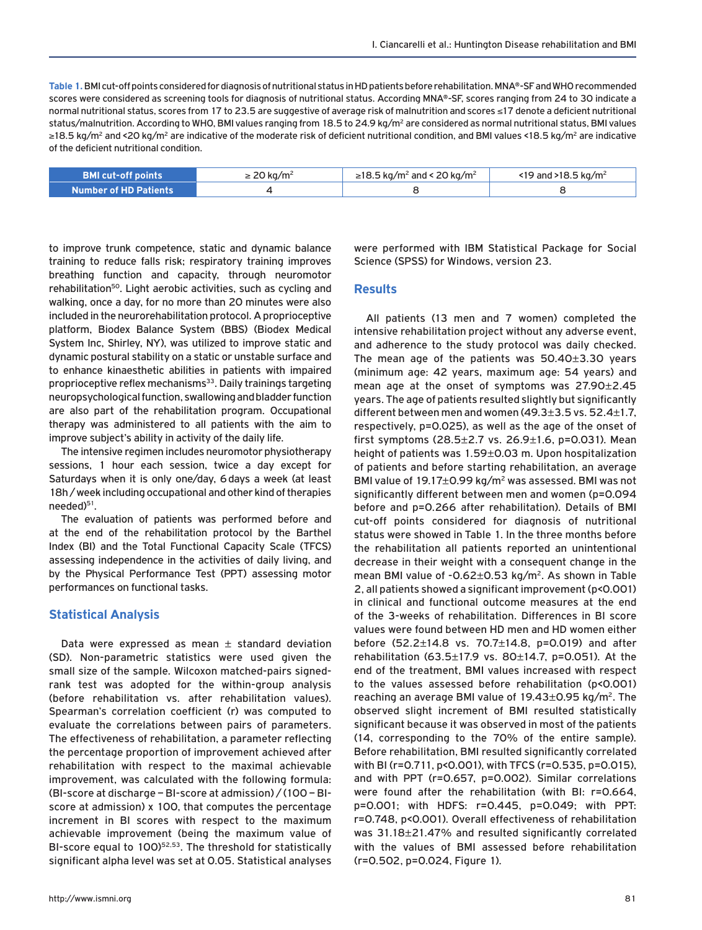**Table 1.** BMI cut-off points considered for diagnosis of nutritional status in HD patients before rehabilitation. MNA®-SF and WHO recommended scores were considered as screening tools for diagnosis of nutritional status. According MNA®-SF, scores ranging from 24 to 30 indicate a normal nutritional status, scores from 17 to 23.5 are suggestive of average risk of malnutrition and scores ≤17 denote a deficient nutritional status/malnutrition. According to WHO, BMI values ranging from 18.5 to 24.9 kg/m<sup>2</sup> are considered as normal nutritional status, BMI values ≥18.5 kg/m<sup>2</sup> and <20 kg/m<sup>2</sup> are indicative of the moderate risk of deficient nutritional condition, and BMI values <18.5 kg/m<sup>2</sup> are indicative of the deficient nutritional condition.

| <b>BMI cut-off points</b>    | $\geq$ 20 kg/m <sup>2</sup> | $\ge$ 18.5 kg/m <sup>2</sup> and < 20 kg/m <sup>2</sup> | <19 and >18.5 kg/m <sup>2</sup> |
|------------------------------|-----------------------------|---------------------------------------------------------|---------------------------------|
| <b>Number of HD Patients</b> |                             |                                                         |                                 |

to improve trunk competence, static and dynamic balance training to reduce falls risk; respiratory training improves breathing function and capacity, through neuromotor rehabilitation<sup>50</sup>. Light aerobic activities, such as cycling and walking, once a day, for no more than 20 minutes were also included in the neurorehabilitation protocol. A proprioceptive platform, Biodex Balance System (BBS) (Biodex Medical System Inc, Shirley, NY), was utilized to improve static and dynamic postural stability on a static or unstable surface and to enhance kinaesthetic abilities in patients with impaired proprioceptive reflex mechanisms<sup>33</sup>. Daily trainings targeting neuropsychological function, swallowing and bladder function are also part of the rehabilitation program. Occupational therapy was administered to all patients with the aim to improve subject's ability in activity of the daily life.

The intensive regimen includes neuromotor physiotherapy sessions, 1 hour each session, twice a day except for Saturdays when it is only one/day, 6days a week (at least 18h / week including occupational and other kind of therapies needed)<sup>51</sup>.

The evaluation of patients was performed before and at the end of the rehabilitation protocol by the Barthel Index (BI) and the Total Functional Capacity Scale (TFCS) assessing independence in the activities of daily living, and by the Physical Performance Test (PPT) assessing motor performances on functional tasks.

## **Statistical Analysis**

Data were expressed as mean  $\pm$  standard deviation (SD). Non-parametric statistics were used given the small size of the sample. Wilcoxon matched-pairs signedrank test was adopted for the within-group analysis (before rehabilitation vs. after rehabilitation values). Spearman's correlation coefficient (r) was computed to evaluate the correlations between pairs of parameters. The effectiveness of rehabilitation, a parameter reflecting the percentage proportion of improvement achieved after rehabilitation with respect to the maximal achievable improvement, was calculated with the following formula: (BI-score at discharge – BI-score at admission) / (100 – BIscore at admission) x 100, that computes the percentage increment in BI scores with respect to the maximum achievable improvement (being the maximum value of BI-score equal to 100)<sup>52,53</sup>. The threshold for statistically significant alpha level was set at 0.05. Statistical analyses

were performed with IBM Statistical Package for Social Science (SPSS) for Windows, version 23.

## **Results**

All patients (13 men and 7 women) completed the intensive rehabilitation project without any adverse event, and adherence to the study protocol was daily checked. The mean age of the patients was  $50.40 \pm 3.30$  years (minimum age: 42 years, maximum age: 54 years) and mean age at the onset of symptoms was 27.90±2.45 years. The age of patients resulted slightly but significantly different between men and women (49.3±3.5 vs. 52.4±1.7, respectively, p=0.025), as well as the age of the onset of first symptoms  $(28.5 \pm 2.7 \text{ vs. } 26.9 \pm 1.6, \text{ p=0.031}).$  Mean height of patients was 1.59±0.03 m. Upon hospitalization of patients and before starting rehabilitation, an average BMI value of 19.17±0.99 kg/m2 was assessed. BMI was not significantly different between men and women (p=0.094 before and p=0.266 after rehabilitation). Details of BMI cut-off points considered for diagnosis of nutritional status were showed in Table 1. In the three months before the rehabilitation all patients reported an unintentional decrease in their weight with a consequent change in the mean BMI value of  $-0.62\pm0.53$  kg/m<sup>2</sup>. As shown in Table 2, all patients showed a significant improvement (p<0.001) in clinical and functional outcome measures at the end of the 3-weeks of rehabilitation. Differences in BI score values were found between HD men and HD women either before (52.2±14.8 vs. 70.7±14.8, p=0.019) and after rehabilitation  $(63.5 \pm 17.9 \text{ vs. } 80 \pm 14.7, \text{ p=0.051}).$  At the end of the treatment, BMI values increased with respect to the values assessed before rehabilitation (p<0.001) reaching an average BMI value of  $19.43\pm0.95$  kg/m<sup>2</sup>. The observed slight increment of BMI resulted statistically significant because it was observed in most of the patients (14, corresponding to the 70% of the entire sample). Before rehabilitation, BMI resulted significantly correlated with BI (r=0.711, p<0.001), with TFCS (r=0.535, p=0.015), and with PPT (r=0.657, p=0.002). Similar correlations were found after the rehabilitation (with BI: r=0.664, p=0.001; with HDFS: r=0.445, p=0.049; with PPT: r=0.748, p<0.001). Overall effectiveness of rehabilitation was 31.18±21.47% and resulted significantly correlated with the values of BMI assessed before rehabilitation (r=0.502, p=0.024, Figure 1).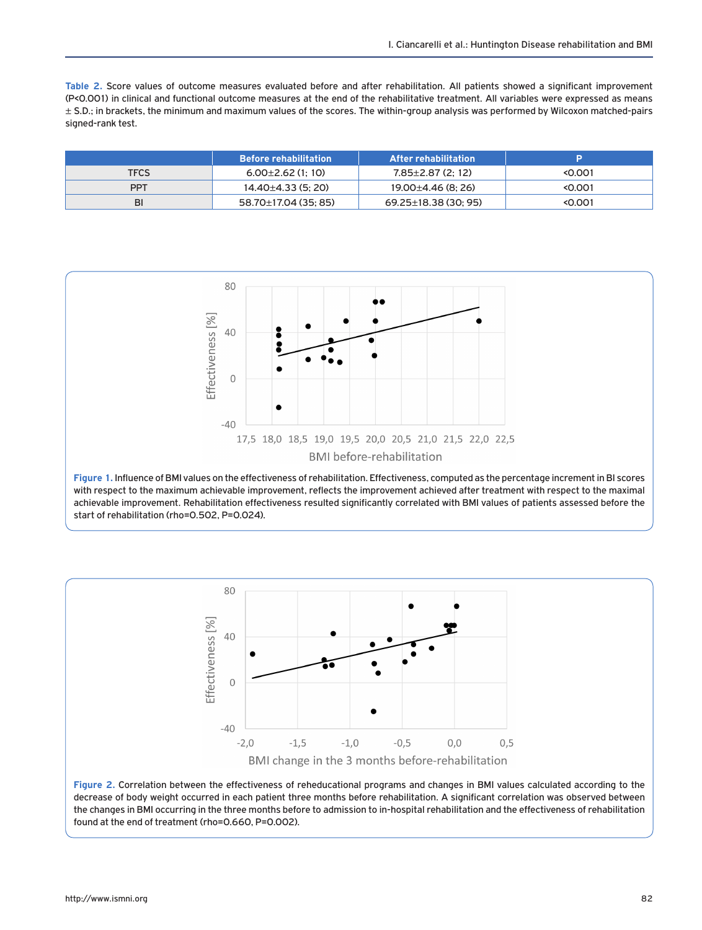**Table 2.** Score values of outcome measures evaluated before and after rehabilitation. All patients showed a significant improvement (P<0.001) in clinical and functional outcome measures at the end of the rehabilitative treatment. All variables were expressed as means ± S.D.; in brackets, the minimum and maximum values of the scores. The within-group analysis was performed by Wilcoxon matched-pairs signed-rank test.

|             | <b>Before rehabilitation</b> | <b>After rehabilitation</b> |         |
|-------------|------------------------------|-----------------------------|---------|
| <b>TFCS</b> | $6.00\pm2.62$ (1:10)         | $7.85 \pm 2.87$ (2: 12)     | < 0.001 |
| <b>PPT</b>  | $14.40 \pm 4.33$ (5: 20)     | $19.00 \pm 4.46$ (8: 26)    | < 0.001 |
| BI          | 58.70±17.04 (35: 85)         | $69.25 \pm 18.38$ (30; 95)  | < 0.001 |



achievable improvement. Rehabilitation effectiveness resulted significantly correlated with BMI values of patients assessed before the start of rehabilitation (rho=0.502, P=0.024).



**Figure 2.** Correlation between the effectiveness of reheducational programs and changes in BMI values calculated according to the decrease of body weight occurred in each patient three months before rehabilitation. A significant correlation was observed between the changes in BMI occurring in the three months before to admission to in-hospital rehabilitation and the effectiveness of rehabilitation found at the end of treatment (rho=0.660, P=0.002).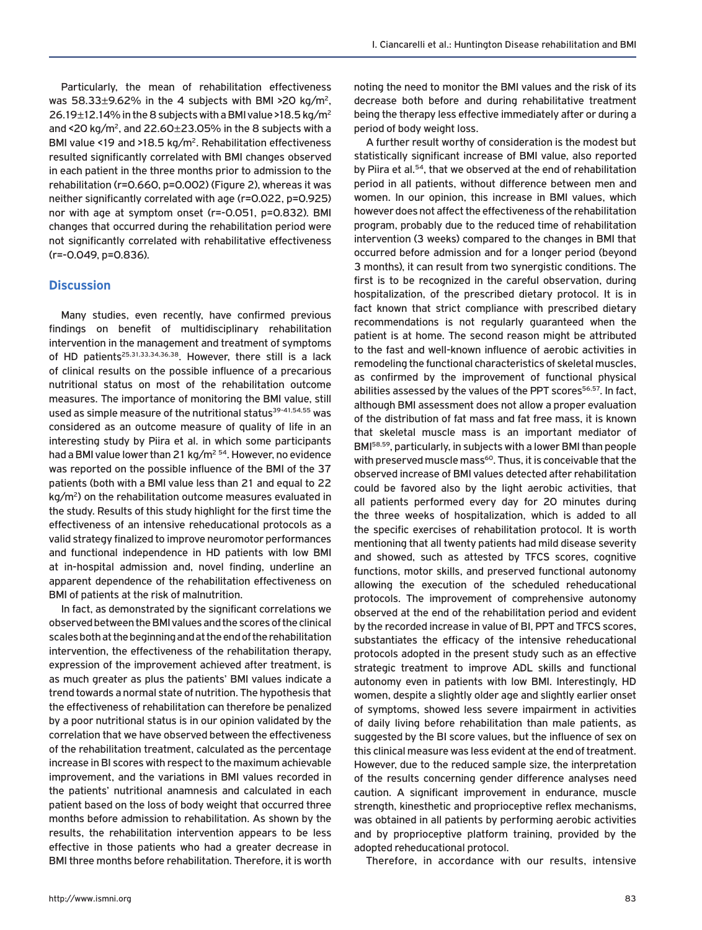Particularly, the mean of rehabilitation effectiveness was  $58.33\pm9.62\%$  in the 4 subjects with BMI >20 kg/m<sup>2</sup>, 26.19 $\pm$ 12.14% in the 8 subjects with a BMI value >18.5 kg/m<sup>2</sup> and <20 kg/m<sup>2</sup>, and  $22.60 \pm 23.05$ % in the 8 subjects with a BMI value <19 and >18.5 kg/m<sup>2</sup>. Rehabilitation effectiveness resulted significantly correlated with BMI changes observed in each patient in the three months prior to admission to the rehabilitation (r=0.660, p=0.002) (Figure 2), whereas it was neither significantly correlated with age (r=0.022, p=0.925) nor with age at symptom onset (r=-0.051, p=0.832). BMI changes that occurred during the rehabilitation period were not significantly correlated with rehabilitative effectiveness (r=-0.049, p=0.836).

## **Discussion**

Many studies, even recently, have confirmed previous findings on benefit of multidisciplinary rehabilitation intervention in the management and treatment of symptoms of HD patients<sup>25,31,33,34,36,38</sup>. However, there still is a lack of clinical results on the possible influence of a precarious nutritional status on most of the rehabilitation outcome measures. The importance of monitoring the BMI value, still used as simple measure of the nutritional status<sup>39-41,54,55</sup> was considered as an outcome measure of quality of life in an interesting study by Piira et al. in which some participants had a BMI value lower than 21 kg/m<sup>2 54</sup>. However, no evidence was reported on the possible influence of the BMI of the 37 patients (both with a BMI value less than 21 and equal to 22 kg/m<sup>2</sup>) on the rehabilitation outcome measures evaluated in the study. Results of this study highlight for the first time the effectiveness of an intensive reheducational protocols as a valid strategy finalized to improve neuromotor performances and functional independence in HD patients with low BMI at in-hospital admission and, novel finding, underline an apparent dependence of the rehabilitation effectiveness on BMI of patients at the risk of malnutrition.

In fact, as demonstrated by the significant correlations we observed between the BMI values and the scores of the clinical scales both at the beginning and at the end of the rehabilitation intervention, the effectiveness of the rehabilitation therapy, expression of the improvement achieved after treatment, is as much greater as plus the patients' BMI values indicate a trend towards a normal state of nutrition. The hypothesis that the effectiveness of rehabilitation can therefore be penalized by a poor nutritional status is in our opinion validated by the correlation that we have observed between the effectiveness of the rehabilitation treatment, calculated as the percentage increase in BI scores with respect to the maximum achievable improvement, and the variations in BMI values recorded in the patients' nutritional anamnesis and calculated in each patient based on the loss of body weight that occurred three months before admission to rehabilitation. As shown by the results, the rehabilitation intervention appears to be less effective in those patients who had a greater decrease in BMI three months before rehabilitation. Therefore, it is worth

noting the need to monitor the BMI values and the risk of its decrease both before and during rehabilitative treatment being the therapy less effective immediately after or during a period of body weight loss.

A further result worthy of consideration is the modest but statistically significant increase of BMI value, also reported by Piira et al.54, that we observed at the end of rehabilitation period in all patients, without difference between men and women. In our opinion, this increase in BMI values, which however does not affect the effectiveness of the rehabilitation program, probably due to the reduced time of rehabilitation intervention (3 weeks) compared to the changes in BMI that occurred before admission and for a longer period (beyond 3 months), it can result from two synergistic conditions. The first is to be recognized in the careful observation, during hospitalization, of the prescribed dietary protocol. It is in fact known that strict compliance with prescribed dietary recommendations is not regularly guaranteed when the patient is at home. The second reason might be attributed to the fast and well-known influence of aerobic activities in remodeling the functional characteristics of skeletal muscles, as confirmed by the improvement of functional physical abilities assessed by the values of the PPT scores<sup>56,57</sup>. In fact, although BMI assessment does not allow a proper evaluation of the distribution of fat mass and fat free mass, it is known that skeletal muscle mass is an important mediator of BMI58,59, particularly, in subjects with a lower BMI than people with preserved muscle mass<sup>60</sup>. Thus, it is conceivable that the observed increase of BMI values detected after rehabilitation could be favored also by the light aerobic activities, that all patients performed every day for 20 minutes during the three weeks of hospitalization, which is added to all the specific exercises of rehabilitation protocol. It is worth mentioning that all twenty patients had mild disease severity and showed, such as attested by TFCS scores, cognitive functions, motor skills, and preserved functional autonomy allowing the execution of the scheduled reheducational protocols. The improvement of comprehensive autonomy observed at the end of the rehabilitation period and evident by the recorded increase in value of BI, PPT and TFCS scores, substantiates the efficacy of the intensive reheducational protocols adopted in the present study such as an effective strategic treatment to improve ADL skills and functional autonomy even in patients with low BMI. Interestingly, HD women, despite a slightly older age and slightly earlier onset of symptoms, showed less severe impairment in activities of daily living before rehabilitation than male patients, as suggested by the BI score values, but the influence of sex on this clinical measure was less evident at the end of treatment. However, due to the reduced sample size, the interpretation of the results concerning gender difference analyses need caution. A significant improvement in endurance, muscle strength, kinesthetic and proprioceptive reflex mechanisms, was obtained in all patients by performing aerobic activities and by proprioceptive platform training, provided by the adopted reheducational protocol.

Therefore, in accordance with our results, intensive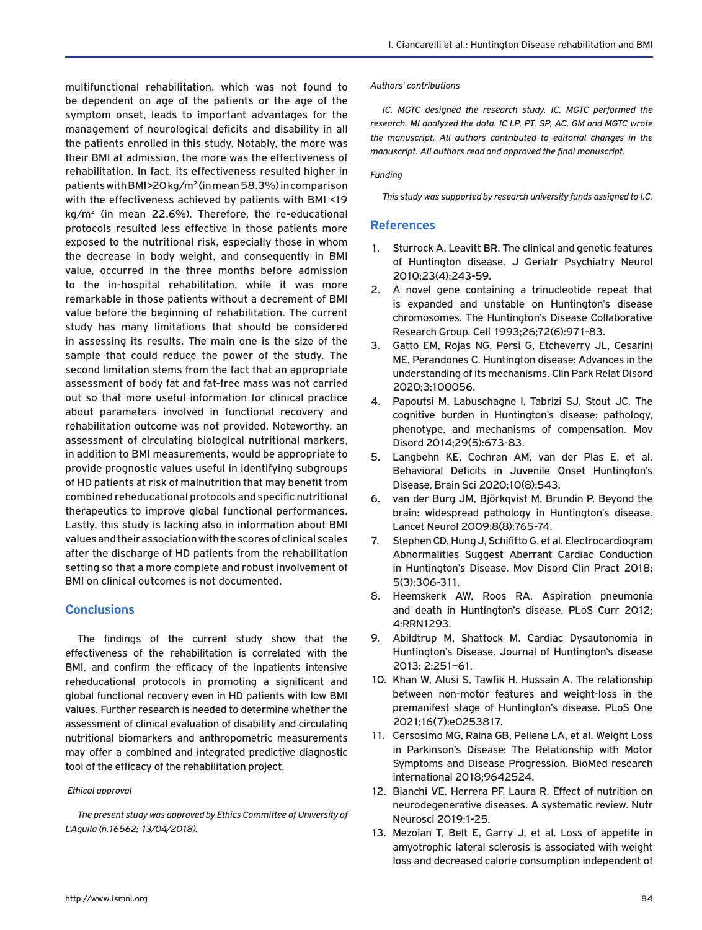multifunctional rehabilitation, which was not found to be dependent on age of the patients or the age of the symptom onset, leads to important advantages for the management of neurological deficits and disability in all the patients enrolled in this study. Notably, the more was their BMI at admission, the more was the effectiveness of rehabilitation. In fact, its effectiveness resulted higher in patients with BMI >20 kg/m2 (in mean 58.3%) in comparison with the effectiveness achieved by patients with BMI <19 kg/m2 (in mean 22.6%). Therefore, the re-educational protocols resulted less effective in those patients more exposed to the nutritional risk, especially those in whom the decrease in body weight, and consequently in BMI value, occurred in the three months before admission to the in-hospital rehabilitation, while it was more remarkable in those patients without a decrement of BMI value before the beginning of rehabilitation. The current study has many limitations that should be considered in assessing its results. The main one is the size of the sample that could reduce the power of the study. The second limitation stems from the fact that an appropriate assessment of body fat and fat-free mass was not carried out so that more useful information for clinical practice about parameters involved in functional recovery and rehabilitation outcome was not provided. Noteworthy, an assessment of circulating biological nutritional markers, in addition to BMI measurements, would be appropriate to provide prognostic values useful in identifying subgroups of HD patients at risk of malnutrition that may benefit from combined reheducational protocols and specific nutritional therapeutics to improve global functional performances. Lastly, this study is lacking also in information about BMI values and their association with the scores of clinical scales after the discharge of HD patients from the rehabilitation setting so that a more complete and robust involvement of BMI on clinical outcomes is not documented.

# **Conclusions**

The findings of the current study show that the effectiveness of the rehabilitation is correlated with the BMI, and confirm the efficacy of the inpatients intensive reheducational protocols in promoting a significant and global functional recovery even in HD patients with low BMI values. Further research is needed to determine whether the assessment of clinical evaluation of disability and circulating nutritional biomarkers and anthropometric measurements may offer a combined and integrated predictive diagnostic tool of the efficacy of the rehabilitation project.

### *Ethical approval*

*The present study was approved by Ethics Committee of University of L'Aquila (n.16562; 13/04/2018).*

#### *Authors' contributions*

*IC, MGTC designed the research study. IC, MGTC performed the research. MI analyzed the data. IC LP, PT, SP, AC, GM and MGTC wrote the manuscript. All authors contributed to editorial changes in the manuscript. All authors read and approved the final manuscript.* 

#### *Funding*

*This study was supported by research university funds assigned to I.C.* 

## **References**

- 1. Sturrock A, Leavitt BR. The clinical and genetic features of Huntington disease. J Geriatr Psychiatry Neurol 2010;23(4):243-59.
- 2. A novel gene containing a trinucleotide repeat that is expanded and unstable on Huntington's disease chromosomes. The Huntington's Disease Collaborative Research Group. Cell 1993;26;72(6):971-83.
- 3. Gatto EM, Rojas NG, Persi G, Etcheverry JL, Cesarini ME, Perandones C. Huntington disease: Advances in the understanding of its mechanisms. Clin Park Relat Disord 2020;3:100056.
- 4. Papoutsi M, Labuschagne I, Tabrizi SJ, Stout JC. The cognitive burden in Huntington's disease: pathology, phenotype, and mechanisms of compensation. Mov Disord 2014;29(5):673-83.
- 5. Langbehn KE, Cochran AM, van der Plas E, et al. Behavioral Deficits in Juvenile Onset Huntington's Disease. Brain Sci 2020;10(8):543.
- 6. van der Burg JM, Björkqvist M, Brundin P. Beyond the brain: widespread pathology in Huntington's disease. Lancet Neurol 2009;8(8):765-74.
- 7. Stephen CD, Hung J, Schifitto G, et al. Electrocardiogram Abnormalities Suggest Aberrant Cardiac Conduction in Huntington's Disease. Mov Disord Clin Pract 2018; 5(3):306-311.
- 8. Heemskerk AW, Roos RA. Aspiration pneumonia and death in Huntington's disease. PLoS Curr 2012; 4:RRN1293.
- 9. Abildtrup M, Shattock M. Cardiac Dysautonomia in Huntington's Disease. Journal of Huntington's disease 2013; 2:251–61.
- 10. Khan W, Alusi S, Tawfik H, Hussain A. The relationship between non-motor features and weight-loss in the premanifest stage of Huntington's disease. PLoS One 2021;16(7):e0253817.
- 11. Cersosimo MG, Raina GB, Pellene LA, et al. Weight Loss in Parkinson's Disease: The Relationship with Motor Symptoms and Disease Progression. BioMed research international 2018;9642524.
- 12. Bianchi VE, Herrera PF, Laura R. Effect of nutrition on neurodegenerative diseases. A systematic review. Nutr Neurosci 2019:1-25.
- 13. Mezoian T, Belt E, Garry J, et al. Loss of appetite in amyotrophic lateral sclerosis is associated with weight loss and decreased calorie consumption independent of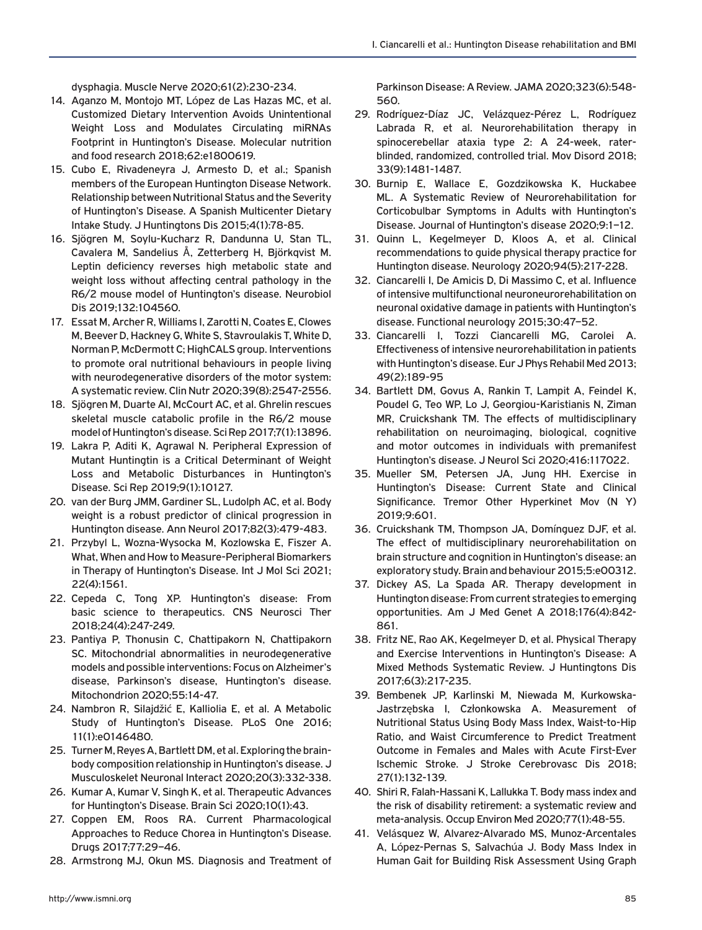dysphagia. Muscle Nerve 2020;61(2):230-234.

- 14. Aganzo M, Montojo MT, López de Las Hazas MC, et al. Customized Dietary Intervention Avoids Unintentional Weight Loss and Modulates Circulating miRNAs Footprint in Huntington's Disease. Molecular nutrition and food research 2018;62:e1800619.
- 15. Cubo E, Rivadeneyra J, Armesto D, et al.; Spanish members of the European Huntington Disease Network. Relationship between Nutritional Status and the Severity of Huntington's Disease. A Spanish Multicenter Dietary Intake Study. J Huntingtons Dis 2015;4(1):78-85.
- 16. Sjögren M, Soylu-Kucharz R, Dandunna U, Stan TL, Cavalera M, Sandelius Å, Zetterberg H, Björkqvist M. Leptin deficiency reverses high metabolic state and weight loss without affecting central pathology in the R6/2 mouse model of Huntington's disease. Neurobiol Dis 2019;132:104560.
- 17. Essat M, Archer R, Williams I, Zarotti N, Coates E, Clowes M, Beever D, Hackney G, White S, Stavroulakis T, White D, Norman P, McDermott C; HighCALS group. Interventions to promote oral nutritional behaviours in people living with neurodegenerative disorders of the motor system: A systematic review. Clin Nutr 2020;39(8):2547-2556.
- 18. Sjögren M, Duarte AI, McCourt AC, et al. Ghrelin rescues skeletal muscle catabolic profile in the R6/2 mouse model of Huntington's disease. Sci Rep 2017;7(1):13896.
- 19. Lakra P, Aditi K, Agrawal N. Peripheral Expression of Mutant Huntingtin is a Critical Determinant of Weight Loss and Metabolic Disturbances in Huntington's Disease. Sci Rep 2019;9(1):10127.
- 20. van der Burg JMM, Gardiner SL, Ludolph AC, et al. Body weight is a robust predictor of clinical progression in Huntington disease. Ann Neurol 2017;82(3):479-483.
- 21. Przybyl L, Wozna-Wysocka M, Kozlowska E, Fiszer A. What, When and How to Measure-Peripheral Biomarkers in Therapy of Huntington's Disease. Int J Mol Sci 2021; 22(4):1561.
- 22. Cepeda C, Tong XP. Huntington's disease: From basic science to therapeutics. CNS Neurosci Ther 2018;24(4):247-249.
- 23. Pantiya P, Thonusin C, Chattipakorn N, Chattipakorn SC. Mitochondrial abnormalities in neurodegenerative models and possible interventions: Focus on Alzheimer's disease, Parkinson's disease, Huntington's disease. Mitochondrion 2020;55:14-47.
- 24. Nambron R, Silajdžić E, Kalliolia E, et al. A Metabolic Study of Huntington's Disease. PLoS One 2016; 11(1):e0146480.
- 25. Turner M, Reyes A, Bartlett DM, et al. Exploring the brainbody composition relationship in Huntington's disease. J Musculoskelet Neuronal Interact 2020;20(3):332-338.
- 26. Kumar A, Kumar V, Singh K, et al. Therapeutic Advances for Huntington's Disease. Brain Sci 2020;10(1):43.
- 27. Coppen EM, Roos RA. Current Pharmacological Approaches to Reduce Chorea in Huntington's Disease. Drugs 2017;77:29–46.
- 28. Armstrong MJ, Okun MS. Diagnosis and Treatment of

Parkinson Disease: A Review. JAMA 2020;323(6):548- 560.

- 29. Rodríguez-Díaz JC, Velázquez-Pérez L, Rodríguez Labrada R, et al. Neurorehabilitation therapy in spinocerebellar ataxia type 2: A 24-week, raterblinded, randomized, controlled trial. Mov Disord 2018; 33(9):1481-1487.
- 30. Burnip E, Wallace E, Gozdzikowska K, Huckabee ML. A Systematic Review of Neurorehabilitation for Corticobulbar Symptoms in Adults with Huntington's Disease. Journal of Huntington's disease 2020;9:1–12.
- 31. Quinn L, Kegelmeyer D, Kloos A, et al. Clinical recommendations to guide physical therapy practice for Huntington disease. Neurology 2020;94(5):217-228.
- 32. Ciancarelli I, De Amicis D, Di Massimo C, et al. Influence of intensive multifunctional neuroneurorehabilitation on neuronal oxidative damage in patients with Huntington's disease. Functional neurology 2015;30:47–52.
- 33. Ciancarelli I, Tozzi Ciancarelli MG, Carolei A. Effectiveness of intensive neurorehabilitation in patients with Huntington's disease. Eur J Phys Rehabil Med 2013; 49(2):189-95
- 34. Bartlett DM, Govus A, Rankin T, Lampit A, Feindel K, Poudel G, Teo WP, Lo J, Georgiou-Karistianis N, Ziman MR, Cruickshank TM. The effects of multidisciplinary rehabilitation on neuroimaging, biological, cognitive and motor outcomes in individuals with premanifest Huntington's disease. J Neurol Sci 2020;416:117022.
- 35. Mueller SM, Petersen JA, Jung HH. Exercise in Huntington's Disease: Current State and Clinical Significance. Tremor Other Hyperkinet Mov (N Y) 2019;9:601.
- 36. Cruickshank TM, Thompson JA, Domínguez DJF, et al. The effect of multidisciplinary neurorehabilitation on brain structure and cognition in Huntington's disease: an exploratory study. Brain and behaviour 2015;5:e00312.
- 37. Dickey AS, La Spada AR. Therapy development in Huntington disease: From current strategies to emerging opportunities. Am J Med Genet A 2018;176(4):842- 861.
- 38. Fritz NE, Rao AK, Kegelmeyer D, et al. Physical Therapy and Exercise Interventions in Huntington's Disease: A Mixed Methods Systematic Review. J Huntingtons Dis 2017;6(3):217-235.
- 39. Bembenek JP, Karlinski M, Niewada M, Kurkowska-Jastrzębska I, Członkowska A. Measurement of Nutritional Status Using Body Mass Index, Waist-to-Hip Ratio, and Waist Circumference to Predict Treatment Outcome in Females and Males with Acute First-Ever Ischemic Stroke. J Stroke Cerebrovasc Dis 2018; 27(1):132-139.
- 40. Shiri R, Falah-Hassani K, Lallukka T. Body mass index and the risk of disability retirement: a systematic review and meta-analysis. Occup Environ Med 2020;77(1):48-55.
- 41. Velásquez W, Alvarez-Alvarado MS, Munoz-Arcentales A, López-Pernas S, Salvachúa J. Body Mass Index in Human Gait for Building Risk Assessment Using Graph